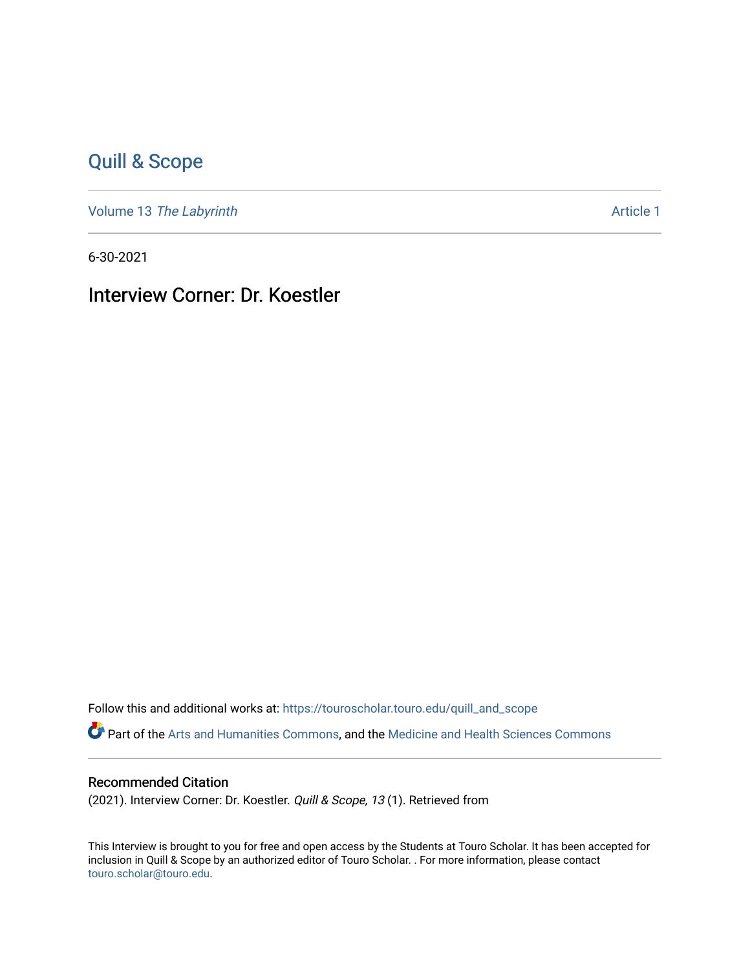# [Quill & Scope](https://touroscholar.touro.edu/quill_and_scope)

Volume 13 [The Labyrinth](https://touroscholar.touro.edu/quill_and_scope/vol13) [Article 1](https://touroscholar.touro.edu/quill_and_scope/vol13/iss1/1) and the United States of the Article 1 and the Article 1

6-30-2021

Interview Corner: Dr. Koestler

Follow this and additional works at: [https://touroscholar.touro.edu/quill\\_and\\_scope](https://touroscholar.touro.edu/quill_and_scope?utm_source=touroscholar.touro.edu%2Fquill_and_scope%2Fvol13%2Fiss1%2F1&utm_medium=PDF&utm_campaign=PDFCoverPages) Part of the [Arts and Humanities Commons,](http://network.bepress.com/hgg/discipline/438?utm_source=touroscholar.touro.edu%2Fquill_and_scope%2Fvol13%2Fiss1%2F1&utm_medium=PDF&utm_campaign=PDFCoverPages) and the [Medicine and Health Sciences Commons](http://network.bepress.com/hgg/discipline/648?utm_source=touroscholar.touro.edu%2Fquill_and_scope%2Fvol13%2Fiss1%2F1&utm_medium=PDF&utm_campaign=PDFCoverPages)

#### Recommended Citation

(2021). Interview Corner: Dr. Koestler. Quill & Scope, 13 (1). Retrieved from

This Interview is brought to you for free and open access by the Students at Touro Scholar. It has been accepted for inclusion in Quill & Scope by an authorized editor of Touro Scholar. . For more information, please contact [touro.scholar@touro.edu](mailto:touro.scholar@touro.edu).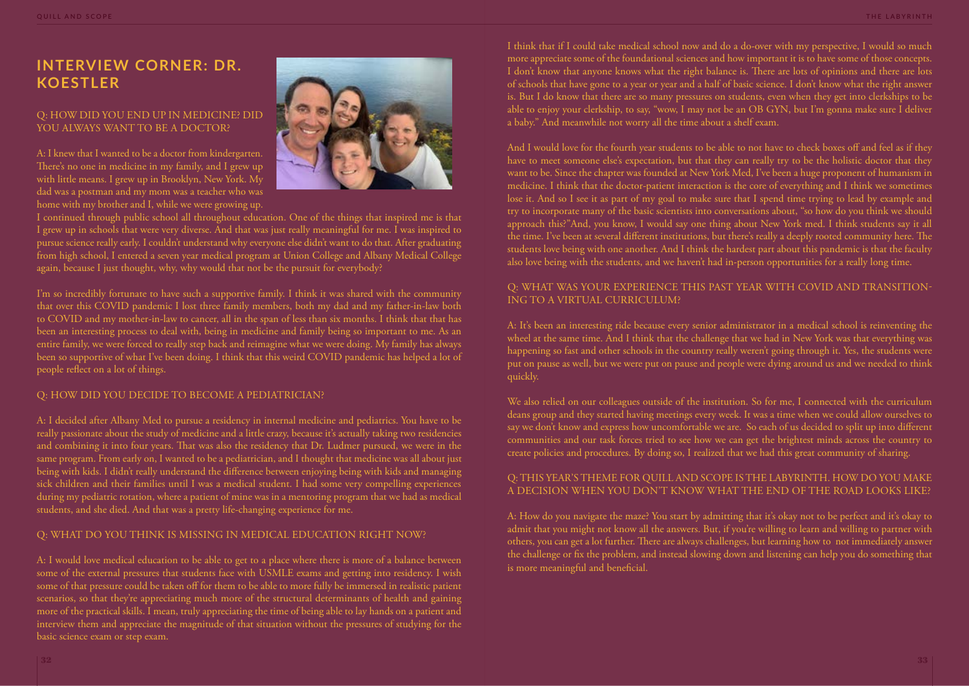I think that if I could take medical school now and do a do-over with my perspective, I would so much more appreciate some of the foundational sciences and how important it is to have some of those concepts. I don't know that anyone knows what the right balance is. There are lots of opinions and there are lots of schools that have gone to a year or year and a half of basic science. I don't know what the right answer is. But I do know that there are so many pressures on students, even when they get into clerkships to be able to enjoy your clerkship, to say, "wow, I may not be an OB GYN, but I'm gonna make sure I deliver a baby." And meanwhile not worry all the time about a shelf exam.

And I would love for the fourth year students to be able to not have to check boxes off and feel as if they have to meet someone else's expectation, but that they can really try to be the holistic doctor that they want to be. Since the chapter was founded at New York Med, I've been a huge proponent of humanism in medicine. I think that the doctor-patient interaction is the core of everything and I think we sometimes lose it. And so I see it as part of my goal to make sure that I spend time trying to lead by example and try to incorporate many of the basic scientists into conversations about, "so how do you think we should approach this?"And, you know, I would say one thing about New York med. I think students say it all the time. I've been at several different institutions, but there's really a deeply rooted community here. The students love being with one another. And I think the hardest part about this pandemic is that the faculty also love being with the students, and we haven't had in-person opportunities for a really long time.

#### Q: HOW DID YOU END UP IN MEDICINE? DID YOU ALWAYS WANT TO BE A DOCTOR?

# Q: WHAT WAS YOUR EXPERIENCE THIS PAST YEAR WITH COVID AND TRANSITION-ING TO A VIRTUAL CURRICULUM?

A: It's been an interesting ride because every senior administrator in a medical school is reinventing the wheel at the same time. And I think that the challenge that we had in New York was that everything was happening so fast and other schools in the country really weren't going through it. Yes, the students were put on pause as well, but we were put on pause and people were dying around us and we needed to think quickly.

We also relied on our colleagues outside of the institution. So for me, I connected with the curriculum deans group and they started having meetings every week. It was a time when we could allow ourselves to say we don't know and express how uncomfortable we are. So each of us decided to split up into different communities and our task forces tried to see how we can get the brightest minds across the country to create policies and procedures. By doing so, I realized that we had this great community of sharing.

#### Q: THIS YEAR'S THEME FOR QUILL AND SCOPE IS THE LABYRINTH. HOW DO YOU MAKE A DECISION WHEN YOU DON'T KNOW WHAT THE END OF THE ROAD LOOKS LIKE?

A: How do you navigate the maze? You start by admitting that it's okay not to be perfect and it's okay to admit that you might not know all the answers. But, if you're willing to learn and willing to partner with others, you can get a lot further. There are always challenges, but learning how to not immediately answer the challenge or fix the problem, and instead slowing down and listening can help you do something that is more meaningful and beneficial.

# **INTERVIEW CORNER: DR. KOESTLER**

A: I knew that I wanted to be a doctor from kindergarten. There's no one in medicine in my family, and I grew up with little means. I grew up in Brooklyn, New York. My dad was a postman and my mom was a teacher who was home with my brother and I, while we were growing up.



I continued through public school all throughout education. One of the things that inspired me is that I grew up in schools that were very diverse. And that was just really meaningful for me. I was inspired to pursue science really early. I couldn't understand why everyone else didn't want to do that. After graduating from high school, I entered a seven year medical program at Union College and Albany Medical College again, because I just thought, why, why would that not be the pursuit for everybody?

I'm so incredibly fortunate to have such a supportive family. I think it was shared with the community that over this COVID pandemic I lost three family members, both my dad and my father-in-law both to COVID and my mother-in-law to cancer, all in the span of less than six months. I think that that has been an interesting process to deal with, being in medicine and family being so important to me. As an entire family, we were forced to really step back and reimagine what we were doing. My family has always been so supportive of what I've been doing. I think that this weird COVID pandemic has helped a lot of people reflect on a lot of things.

# Q: HOW DID YOU DECIDE TO BECOME A PEDIATRICIAN?

A: I decided after Albany Med to pursue a residency in internal medicine and pediatrics. You have to be really passionate about the study of medicine and a little crazy, because it's actually taking two residencies and combining it into four years. That was also the residency that Dr. Ludmer pursued, we were in the same program. From early on, I wanted to be a pediatrician, and I thought that medicine was all about just being with kids. I didn't really understand the difference between enjoying being with kids and managing sick children and their families until I was a medical student. I had some very compelling experiences during my pediatric rotation, where a patient of mine was in a mentoring program that we had as medical students, and she died. And that was a pretty life-changing experience for me.

# Q: WHAT DO YOU THINK IS MISSING IN MEDICAL EDUCATION RIGHT NOW?

A: I would love medical education to be able to get to a place where there is more of a balance between some of the external pressures that students face with USMLE exams and getting into residency. I wish some of that pressure could be taken off for them to be able to more fully be immersed in realistic patient scenarios, so that they're appreciating much more of the structural determinants of health and gaining more of the practical skills. I mean, truly appreciating the time of being able to lay hands on a patient and interview them and appreciate the magnitude of that situation without the pressures of studying for the basic science exam or step exam.